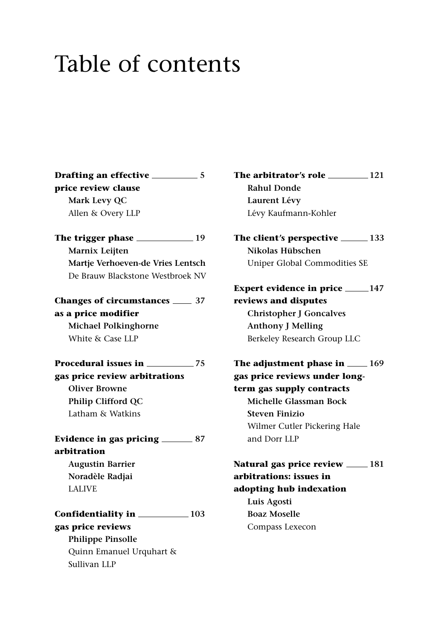## Table of contents

**Drafting an effective 5 price review clause Mark Levy QC** Allen & Overy LLP **The trigger phase 19 Marnix Leijten Martje Verhoeven-de Vries Lentsch** De Brauw Blackstone Westbroek NV **Changes of circumstances 37 as a price modifier Michael Polkinghorne** White & Case LLP **Procedural issues in 75 gas price review arbitrations Oliver Browne Philip Clifford QC** Latham & Watkins Evidence in gas pricing \_\_\_\_\_\_\_\_ 87 **arbitration Augustin Barrier Noradèle Radjai** LALIVE **Confidentiality in 103 gas price reviews Philippe Pinsolle** Quinn Emanuel Urquhart & Sullivan LLP

**The arbitrator's role 121 Rahul Donde Laurent Lévy** Lévy Kaufmann-Kohler

**The client's perspective 133 Nikolas Hübschen** Uniper Global Commodities SE

**Expert evidence in price** 147 **reviews and disputes Christopher J Goncalves Anthony J Melling** Berkeley Research Group LLC

**The adjustment phase in**  $\_\_$ **169 gas price reviews under longterm gas supply contracts Michelle Glassman Bock Steven Finizio** Wilmer Cutler Pickering Hale and Dorr LLP

**Natural gas price review 181 arbitrations: issues in adopting hub indexation Luis Agosti**

**Boaz Moselle** Compass Lexecon